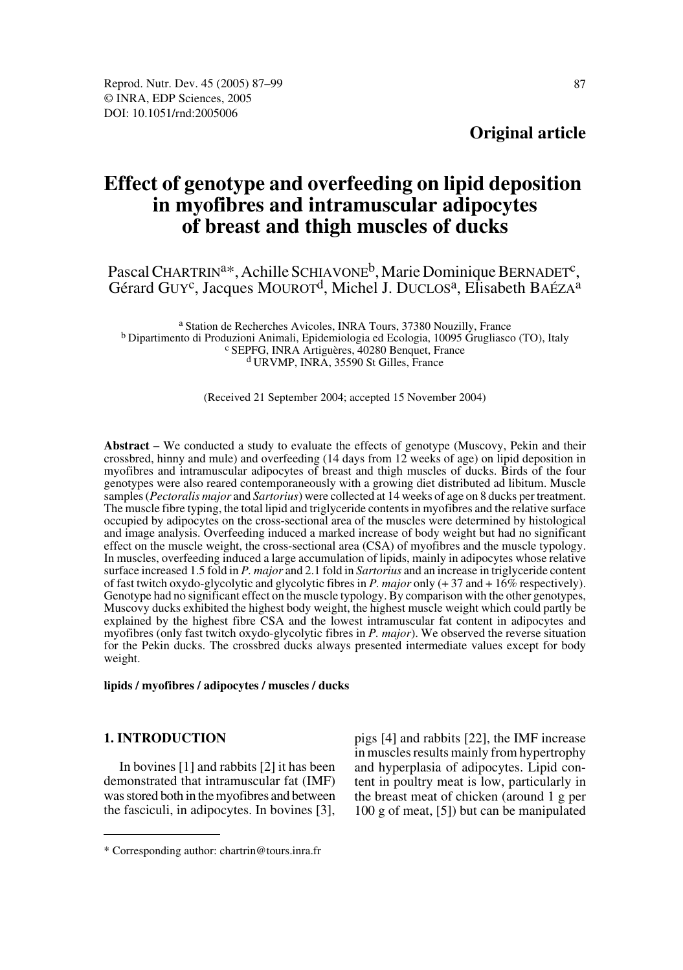**Original article**

# **Effect of genotype and overfeeding on lipid deposition in myofibres and intramuscular adipocytes of breast and thigh muscles of ducks**

Pascal CHARTRIN<sup>a\*</sup>, Achille SCHIAVONE<sup>b</sup>, Marie Dominique BERNADET<sup>c</sup>, Gérard GUY<sup>c</sup>, Jacques MOUROT<sup>d</sup>, Michel J. DUCLOS<sup>a</sup>, Elisabeth BAÉZA<sup>a</sup>

<sup>a</sup> Station de Recherches Avicoles, INRA Tours, 37380 Nouzilly, France<br><sup>b</sup> Dipartimento di Produzioni Animali, Epidemiologia ed Ecologia, 10095 Grugliasco (TO), Italy<br><sup>c</sup> SEPFG, INRA Artiguères, 40280 Benquet, France<br><sup>d</sup> U

(Received 21 September 2004; accepted 15 November 2004)

**Abstract** – We conducted a study to evaluate the effects of genotype (Muscovy, Pekin and their crossbred, hinny and mule) and overfeeding (14 days from 12 weeks of age) on lipid deposition in myofibres and intramuscular adipocytes of breast and thigh muscles of ducks. Birds of the four genotypes were also reared contemporaneously with a growing diet distributed ad libitum. Muscle samples (*Pectoralis major* and *Sartorius*) were collected at 14 weeks of age on 8 ducks per treatment. The muscle fibre typing, the total lipid and triglyceride contents in myofibres and the relative surface occupied by adipocytes on the cross-sectional area of the muscles were determined by histological and image analysis. Overfeeding induced a marked increase of body weight but had no significant effect on the muscle weight, the cross-sectional area (CSA) of myofibres and the muscle typology. In muscles, overfeeding induced a large accumulation of lipids, mainly in adipocytes whose relative surface increased 1.5 fold in *P. major* and 2.1 fold in *Sartorius* and an increase in triglyceride content of fast twitch oxydo-glycolytic and glycolytic fibres in *P. major* only (+ 37 and + 16% respectively). Genotype had no significant effect on the muscle typology. By comparison with the other genotypes, Muscovy ducks exhibited the highest body weight, the highest muscle weight which could partly be explained by the highest fibre CSA and the lowest intramuscular fat content in adipocytes and myofibres (only fast twitch oxydo-glycolytic fibres in *P. major*). We observed the reverse situation for the Pekin ducks. The crossbred ducks always presented intermediate values except for body weight.

**lipids / myofibres / adipocytes / muscles / ducks**

## **1. INTRODUCTION**

In bovines [1] and rabbits [2] it has been demonstrated that intramuscular fat (IMF) was stored both in the myofibres and between the fasciculi, in adipocytes. In bovines [3], pigs [4] and rabbits [22], the IMF increase in muscles results mainly from hypertrophy and hyperplasia of adipocytes. Lipid content in poultry meat is low, particularly in the breast meat of chicken (around 1 g per 100 g of meat, [5]) but can be manipulated

<sup>\*</sup> Corresponding author: chartrin@tours.inra.fr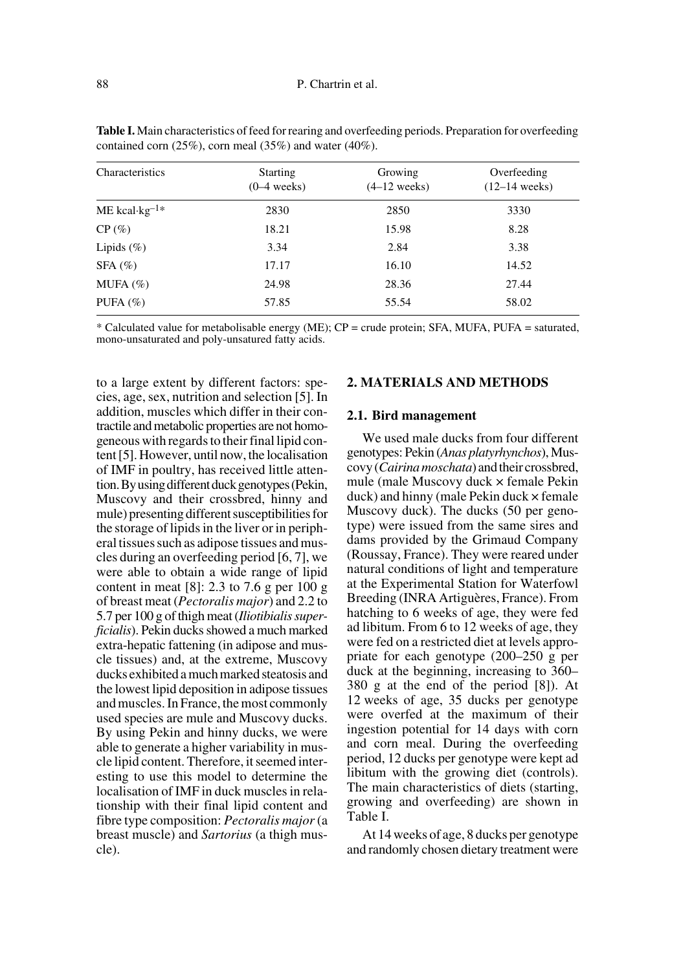| Characteristics             | <b>Starting</b><br>$(0-4$ weeks) | Growing<br>$(4-12$ weeks) | Overfeeding<br>$(12-14$ weeks) |  |  |
|-----------------------------|----------------------------------|---------------------------|--------------------------------|--|--|
| $ME$ kcal·kg <sup>-1*</sup> | 2830                             | 2850                      | 3330                           |  |  |
| CP(%)                       | 18.21                            | 15.98                     | 8.28                           |  |  |
| Lipids $(\%)$               | 3.34                             | 2.84                      | 3.38                           |  |  |
| $SFA(\%)$                   | 17.17                            | 16.10                     | 14.52                          |  |  |
| MUFA $(%)$                  | 24.98                            | 28.36                     | 27.44                          |  |  |
| PUFA $(\% )$                | 57.85                            | 55.54                     | 58.02                          |  |  |

**Table I.** Main characteristics of feed for rearing and overfeeding periods. Preparation for overfeeding contained corn (25%), corn meal (35%) and water (40%).

\* Calculated value for metabolisable energy (ME); CP = crude protein; SFA, MUFA, PUFA = saturated, mono-unsaturated and poly-unsatured fatty acids.

to a large extent by different factors: species, age, sex, nutrition and selection [5]. In addition, muscles which differ in their contractile and metabolic properties are not homogeneous with regards to their final lipid content [5]. However, until now, the localisation of IMF in poultry, has received little attention. By using different duck genotypes (Pekin, Muscovy and their crossbred, hinny and mule) presenting different susceptibilities for the storage of lipids in the liver or in peripheral tissues such as adipose tissues and muscles during an overfeeding period [6, 7], we were able to obtain a wide range of lipid content in meat [8]: 2.3 to 7.6 g per 100 g of breast meat (*Pectoralis major*) and 2.2 to 5.7 per 100 g of thigh meat (*Iliotibialis superficialis*). Pekin ducks showed a much marked extra-hepatic fattening (in adipose and muscle tissues) and, at the extreme, Muscovy ducks exhibited a much marked steatosis and the lowest lipid deposition in adipose tissues and muscles. In France, the most commonly used species are mule and Muscovy ducks. By using Pekin and hinny ducks, we were able to generate a higher variability in muscle lipid content. Therefore, it seemed interesting to use this model to determine the localisation of IMF in duck muscles in relationship with their final lipid content and fibre type composition: *Pectoralis major* (a breast muscle) and *Sartorius* (a thigh muscle).

## **2. MATERIALS AND METHODS**

### **2.1. Bird management**

We used male ducks from four different genotypes: Pekin (*Anas platyrhynchos*), Muscovy (*Cairina moschata*) and their crossbred, mule (male Muscovy duck × female Pekin duck) and hinny (male Pekin duck × female Muscovy duck). The ducks (50 per genotype) were issued from the same sires and dams provided by the Grimaud Company (Roussay, France). They were reared under natural conditions of light and temperature at the Experimental Station for Waterfowl Breeding (INRA Artiguères, France). From hatching to 6 weeks of age, they were fed ad libitum. From 6 to 12 weeks of age, they were fed on a restricted diet at levels appropriate for each genotype (200–250 g per duck at the beginning, increasing to 360– 380 g at the end of the period [8]). At 12 weeks of age, 35 ducks per genotype were overfed at the maximum of their ingestion potential for 14 days with corn and corn meal. During the overfeeding period, 12 ducks per genotype were kept ad libitum with the growing diet (controls). The main characteristics of diets (starting, growing and overfeeding) are shown in Table I.

At 14 weeks of age, 8 ducks per genotype and randomly chosen dietary treatment were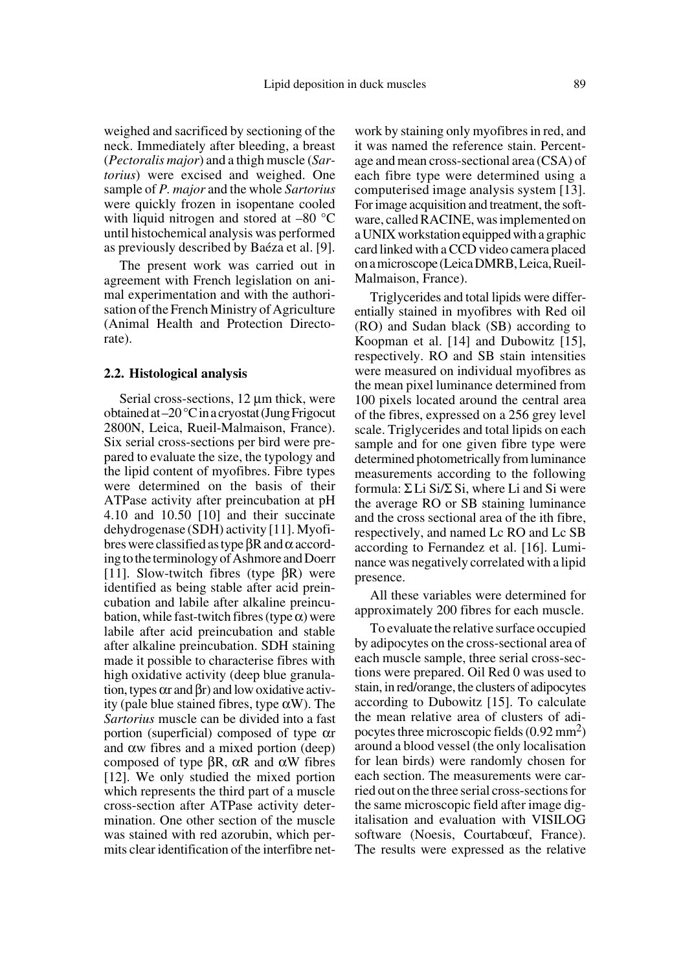weighed and sacrificed by sectioning of the neck. Immediately after bleeding, a breast (*Pectoralis major*) and a thigh muscle (*Sartorius*) were excised and weighed. One sample of *P. major* and the whole *Sartorius* were quickly frozen in isopentane cooled with liquid nitrogen and stored at –80 °C until histochemical analysis was performed as previously described by Baéza et al. [9].

The present work was carried out in agreement with French legislation on animal experimentation and with the authorisation of the French Ministry of Agriculture (Animal Health and Protection Directorate).

#### **2.2. Histological analysis**

Serial cross-sections, 12  $\mu$ m thick, were obtained at –20 °C in a cryostat (Jung Frigocut 2800N, Leica, Rueil-Malmaison, France). Six serial cross-sections per bird were prepared to evaluate the size, the typology and the lipid content of myofibres. Fibre types were determined on the basis of their ATPase activity after preincubation at pH 4.10 and 10.50 [10] and their succinate dehydrogenase (SDH) activity [11]. Myofibres were classified as type  $\beta$ R and  $\alpha$  according to the terminology of Ashmore and Doerr [11]. Slow-twitch fibres (type  $\beta$ R) were identified as being stable after acid preincubation and labile after alkaline preincubation, while fast-twitch fibres (type  $\alpha$ ) were labile after acid preincubation and stable after alkaline preincubation. SDH staining made it possible to characterise fibres with high oxidative activity (deep blue granulation, types  $\alpha r$  and  $\beta r$ ) and low oxidative activity (pale blue stained fibres, type αW). The *Sartorius* muscle can be divided into a fast portion (superficial) composed of type αr and  $\alpha$ w fibres and a mixed portion (deep) composed of type  $βR$ , αR and αW fibres [12]. We only studied the mixed portion which represents the third part of a muscle cross-section after ATPase activity determination. One other section of the muscle was stained with red azorubin, which permits clear identification of the interfibre network by staining only myofibres in red, and it was named the reference stain. Percentage and mean cross-sectional area (CSA) of each fibre type were determined using a computerised image analysis system [13]. For image acquisition and treatment, the software, called RACINE, was implemented on a UNIX workstation equipped with a graphic card linked with a CCD video camera placed on a microscope (Leica DMRB, Leica, Rueil-Malmaison, France).

Triglycerides and total lipids were differentially stained in myofibres with Red oil (RO) and Sudan black (SB) according to Koopman et al. [14] and Dubowitz [15], respectively. RO and SB stain intensities were measured on individual myofibres as the mean pixel luminance determined from 100 pixels located around the central area of the fibres, expressed on a 256 grey level scale. Triglycerides and total lipids on each sample and for one given fibre type were determined photometrically from luminance measurements according to the following formula:  $\Sigma$ Li Si/ $\Sigma$  Si, where Li and Si were the average RO or SB staining luminance and the cross sectional area of the ith fibre, respectively, and named Lc RO and Lc SB according to Fernandez et al. [16]. Luminance was negatively correlated with a lipid presence.

All these variables were determined for approximately 200 fibres for each muscle.

To evaluate the relative surface occupied by adipocytes on the cross-sectional area of each muscle sample, three serial cross-sections were prepared. Oil Red 0 was used to stain, in red/orange, the clusters of adipocytes according to Dubowitz [15]. To calculate the mean relative area of clusters of adipocytes three microscopic fields (0.92 mm2) around a blood vessel (the only localisation for lean birds) were randomly chosen for each section. The measurements were carried out on the three serial cross-sections for the same microscopic field after image digitalisation and evaluation with VISILOG software (Noesis, Courtabœuf, France). The results were expressed as the relative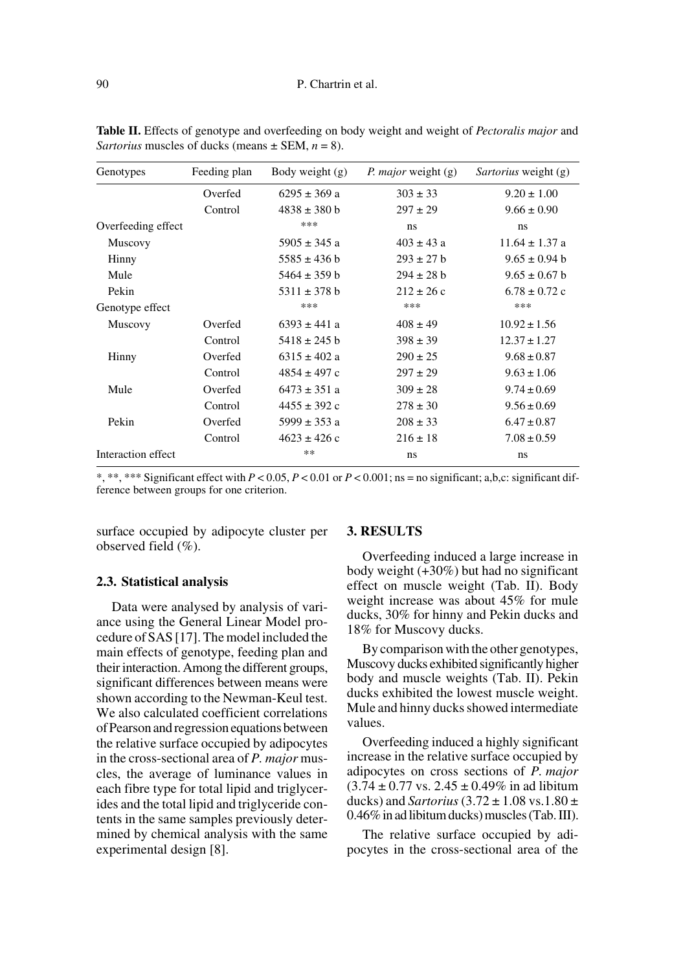| Genotypes          | Feeding plan | Body weight (g)  | <i>P. major</i> weight (g) | <i>Sartorius</i> weight (g) |
|--------------------|--------------|------------------|----------------------------|-----------------------------|
|                    | Overfed      | $6295 \pm 369$ a | $303 \pm 33$               | $9.20 \pm 1.00$             |
|                    | Control      | $4838 \pm 380$ b | $297 \pm 29$               | $9.66 \pm 0.90$             |
| Overfeeding effect |              | ***              | ns                         | ns                          |
| Muscovy            |              | $5905 \pm 345$ a | $403 \pm 43$ a             | $11.64 \pm 1.37$ a          |
| Hinny              |              | $5585 \pm 436$ b | $293 \pm 27$ b             | $9.65 \pm 0.94$ b           |
| Mule               |              | $5464 \pm 359$ b | $294 \pm 28$ b             | $9.65 \pm 0.67$ b           |
| Pekin              |              | $5311 \pm 378$ b | $212 \pm 26$ c             | $6.78 \pm 0.72$ c           |
| Genotype effect    |              | ***              | ***                        | ***                         |
| Muscovy            | Overfed      | $6393 \pm 441$ a | $408 \pm 49$               | $10.92 \pm 1.56$            |
|                    | Control      | $5418 \pm 245$ b | $398 \pm 39$               | $12.37 \pm 1.27$            |
| Hinny              | Overfed      | $6315 \pm 402$ a | $290 \pm 25$               | $9.68 \pm 0.87$             |
|                    | Control      | $4854 \pm 497$ c | $297 \pm 29$               | $9.63 \pm 1.06$             |
| Mule               | Overfed      | $6473 \pm 351$ a | $309 \pm 28$               | $9.74 \pm 0.69$             |
|                    | Control      | $4455 \pm 392$ c | $278 \pm 30$               | $9.56 \pm 0.69$             |
| Pekin              | Overfed      | $5999 \pm 353$ a | $208 \pm 33$               | $6.47 \pm 0.87$             |
|                    | Control      | $4623 \pm 426$ c | $216 \pm 18$               | $7.08 \pm 0.59$             |
| Interaction effect |              | $***$            | ns                         | ns                          |

**Table II.** Effects of genotype and overfeeding on body weight and weight of *Pectoralis major* and *Sartorius* muscles of ducks (means  $\pm$  SEM,  $n = 8$ ).

\*, \*\*, \*\*\* Significant effect with *P* < 0.05, *P* < 0.01 or *P* < 0.001; ns = no significant; a,b,c: significant difference between groups for one criterion.

surface occupied by adipocyte cluster per observed field (%).

#### **2.3. Statistical analysis**

Data were analysed by analysis of variance using the General Linear Model procedure of SAS [17]. The model included the main effects of genotype, feeding plan and their interaction. Among the different groups, significant differences between means were shown according to the Newman-Keul test. We also calculated coefficient correlations of Pearson and regression equations between the relative surface occupied by adipocytes in the cross-sectional area of *P. major* muscles, the average of luminance values in each fibre type for total lipid and triglycerides and the total lipid and triglyceride contents in the same samples previously determined by chemical analysis with the same experimental design [8].

## **3. RESULTS**

Overfeeding induced a large increase in body weight  $(+30\%)$  but had no significant effect on muscle weight (Tab. II). Body weight increase was about 45% for mule ducks, 30% for hinny and Pekin ducks and 18% for Muscovy ducks.

By comparison with the other genotypes, Muscovy ducks exhibited significantly higher body and muscle weights (Tab. II). Pekin ducks exhibited the lowest muscle weight. Mule and hinny ducks showed intermediate values.

Overfeeding induced a highly significant increase in the relative surface occupied by adipocytes on cross sections of *P. major*  $(3.74 \pm 0.77 \text{ vs. } 2.45 \pm 0.49\% \text{ in ad libitum})$ ducks) and *Sartorius*  $(3.72 \pm 1.08 \text{ vs. } 1.80 \pm 1.08 \text{ vs. } 1.60 \pm 1.08 \text{ vs. } 1.60 \pm 1.08 \text{ vs. } 1.60 \pm 1.08 \text{ vs. } 1.60 \pm 1.08 \text{ vs. } 1.60 \pm 1.08 \text{ vs. } 1.60 \pm 1.08 \text{ vs. } 1.60 \pm 1.08 \text{ vs. } 1.60 \pm 1.08 \text{ vs. } 1.60 \pm 1.08 \text{ vs.$ 0.46% in ad libitum ducks) muscles (Tab. III).

The relative surface occupied by adipocytes in the cross-sectional area of the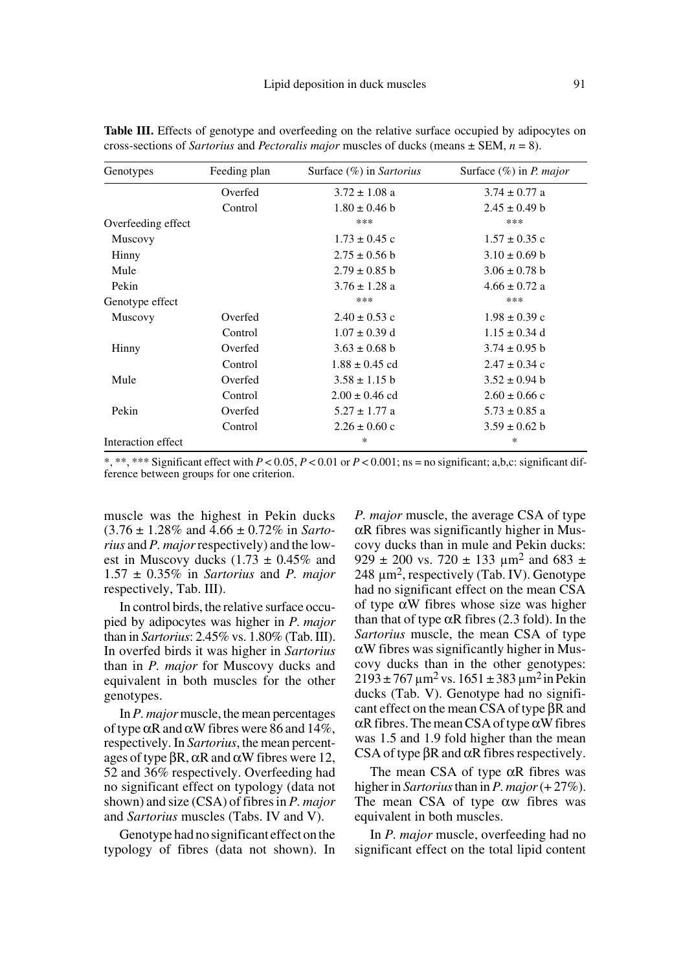| Genotypes          | Feeding plan | Surface (%) in Sartorius | Surface $(\%)$ in P. major |
|--------------------|--------------|--------------------------|----------------------------|
|                    | Overfed      | $3.72 \pm 1.08$ a        | $3.74 \pm 0.77$ a          |
|                    | Control      | $1.80 \pm 0.46$ b        | $2.45 \pm 0.49$ b          |
| Overfeeding effect |              | ***                      | ***                        |
| Muscovy            |              | $1.73 \pm 0.45$ c        | $1.57 \pm 0.35$ c          |
| Hinny              |              | $2.75 \pm 0.56$ b        | $3.10 \pm 0.69$ b          |
| Mule               |              | $2.79 \pm 0.85$ b        | $3.06 \pm 0.78$ b          |
| Pekin              |              | $3.76 \pm 1.28$ a        | $4.66 \pm 0.72$ a          |
| Genotype effect    |              | ***                      | ***                        |
| Muscovy            | Overfed      | $2.40 \pm 0.53$ c        | $1.98 \pm 0.39$ c          |
|                    | Control      | $1.07 \pm 0.39$ d        | $1.15 \pm 0.34$ d          |
| Hinny              | Overfed      | $3.63 \pm 0.68$ b        | $3.74 \pm 0.95$ b          |
|                    | Control      | $1.88 \pm 0.45$ cd       | $2.47 \pm 0.34$ c          |
| Mule               | Overfed      | $3.58 \pm 1.15$ b        | $3.52 \pm 0.94$ b          |
|                    | Control      | $2.00 \pm 0.46$ cd       | $2.60 \pm 0.66$ c          |
| Pekin              | Overfed      | $5.27 \pm 1.77$ a        | $5.73 \pm 0.85$ a          |
|                    | Control      | $2.26 \pm 0.60$ c        | $3.59 \pm 0.62$ b          |
| Interaction effect |              | *                        | *                          |

Table III. Effects of genotype and overfeeding on the relative surface occupied by adipocytes on cross-sections of *Sartorius* and *Pectoralis major* muscles of ducks (means ± SEM, *n* = 8).

\*, \*\*, \*\*\* Significant effect with *P* < 0.05, *P* < 0.01 or *P* < 0.001; ns = no significant; a,b,c: significant difference between groups for one criterion.

muscle was the highest in Pekin ducks (3.76 ± 1.28% and 4.66 ± 0.72% in *Sartorius* and *P. major* respectively) and the lowest in Muscovy ducks  $(1.73 \pm 0.45\%$  and 1.57 ± 0.35% in *Sartorius* and *P. major* respectively, Tab. III).

In control birds, the relative surface occupied by adipocytes was higher in *P. major* than in *Sartorius*: 2.45% vs. 1.80% (Tab. III). In overfed birds it was higher in *Sartorius* than in *P. major* for Muscovy ducks and equivalent in both muscles for the other genotypes.

In *P. major* muscle, the mean percentages of type αR and αW fibres were 86 and 14%, respectively. In *Sartorius*, the mean percentages of type  $βR$ , αR and αW fibres were 12, 52 and 36% respectively. Overfeeding had no significant effect on typology (data not shown) and size (CSA) of fibres in *P. major* and *Sartorius* muscles (Tabs. IV and V).

Genotype had no significant effect on the typology of fibres (data not shown). In *P. major* muscle, the average CSA of type αR fibres was significantly higher in Muscovy ducks than in mule and Pekin ducks: 929  $\pm$  200 vs. 720  $\pm$  133  $\mu$ m<sup>2</sup> and 683  $\pm$ 248  $\mu$ m<sup>2</sup>, respectively (Tab. IV). Genotype had no significant effect on the mean CSA of type αW fibres whose size was higher than that of type  $\alpha$ R fibres (2.3 fold). In the *Sartorius* muscle, the mean CSA of type  $\alpha$ W fibres was significantly higher in Muscovy ducks than in the other genotypes:  $2193 \pm 767 \,\mu m^2$  vs.  $1651 \pm 383 \,\mu m^2$  in Pekin ducks (Tab. V). Genotype had no significant effect on the mean CSA of type βR and  $\alpha$ R fibres. The mean CSA of type  $\alpha$ W fibres was 1.5 and 1.9 fold higher than the mean CSA of type  $\beta$ R and  $\alpha$ R fibres respectively.

The mean CSA of type  $\alpha$ R fibres was higher in *Sartorius* than in *P. major* (+ 27%). The mean CSA of type  $\alpha$  fibres was equivalent in both muscles.

In *P. major* muscle, overfeeding had no significant effect on the total lipid content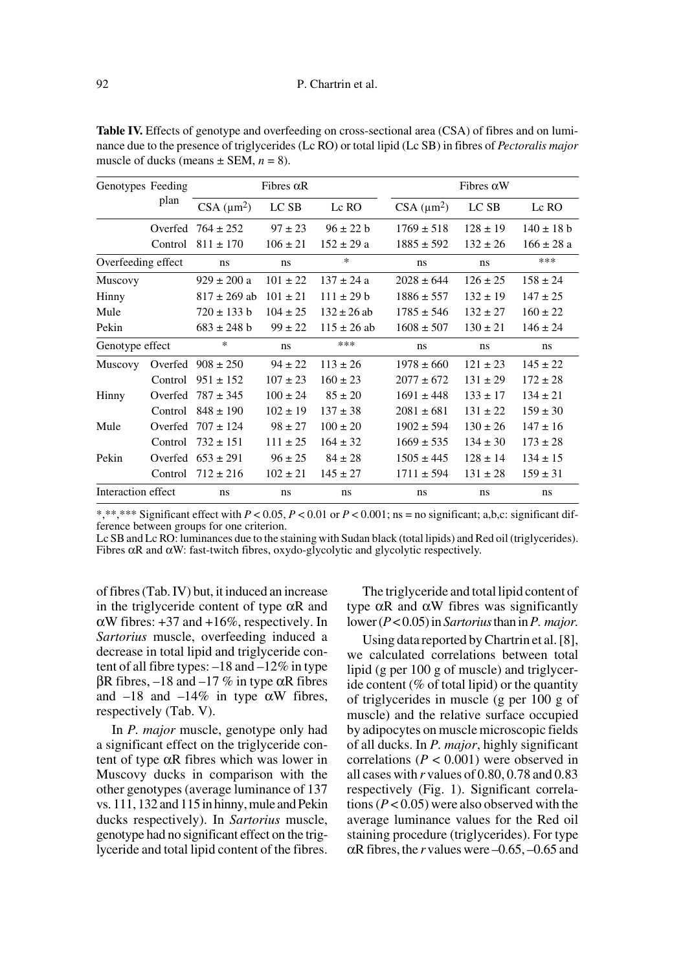| Genotypes Feeding  |         |                  | Fibres $\alpha$ R |                 |                                | Fibres $\alpha$ W |                |  |
|--------------------|---------|------------------|-------------------|-----------------|--------------------------------|-------------------|----------------|--|
|                    | plan    | $CSA (\mu m^2)$  | LC SB             | Lc RO           | $CSA$ ( $\mu$ m <sup>2</sup> ) | LC SB             | Lc RO          |  |
|                    | Overfed | $764 \pm 252$    | $97 \pm 23$       | $96 \pm 22 b$   | $1769 \pm 518$                 | $128 \pm 19$      | $140 \pm 18$ b |  |
|                    | Control | $811 \pm 170$    | $106 \pm 21$      | $152 \pm 29$ a  | $1885 \pm 592$                 | $132 \pm 26$      | $166 \pm 28 a$ |  |
| Overfeeding effect |         | ns               | ns                | $\ast$          | ns                             | ns                | ***            |  |
| Muscovy            |         | $929 \pm 200 a$  | $101 \pm 22$      | $137 \pm 24$ a  | $2028 \pm 644$                 | $126 \pm 25$      | $158 \pm 24$   |  |
| Hinny              |         | $817 \pm 269$ ab | $101 \pm 21$      | $111 \pm 29 b$  | $1886 \pm 557$                 | $132 \pm 19$      | $147 \pm 25$   |  |
| Mule               |         | $720 \pm 133$ b  | $104 \pm 25$      | $132 \pm 26$ ab | $1785 \pm 546$                 | $132 \pm 27$      | $160 \pm 22$   |  |
| Pekin              |         | $683 \pm 248$ b  | $99 \pm 22$       | $115 \pm 26$ ab | $1608 \pm 507$                 | $130 \pm 21$      | $146 \pm 24$   |  |
| Genotype effect    |         | $\ast$           | ns                | ***             | ns                             | ns                | ns             |  |
| <b>Muscovy</b>     | Overfed | $908 \pm 250$    | $94 \pm 22$       | $113 \pm 26$    | $1978 \pm 660$                 | $121 \pm 23$      | $145 \pm 22$   |  |
|                    | Control | $951 \pm 152$    | $107 \pm 23$      | $160 \pm 23$    | $2077 \pm 672$                 | $131 \pm 29$      | $172 \pm 28$   |  |
| Hinny              | Overfed | $787 \pm 345$    | $100 \pm 24$      | $85 \pm 20$     | $1691 \pm 448$                 | $133 \pm 17$      | $134 \pm 21$   |  |
|                    | Control | $848 \pm 190$    | $102 \pm 19$      | $137 \pm 38$    | $2081 \pm 681$                 | $131 \pm 22$      | $159 \pm 30$   |  |
| Mule               | Overfed | $707 \pm 124$    | $98 \pm 27$       | $100 \pm 20$    | $1902 \pm 594$                 | $130 \pm 26$      | $147 \pm 16$   |  |
|                    | Control | $732 \pm 151$    | $111 \pm 25$      | $164 \pm 32$    | $1669 \pm 535$                 | $134 \pm 30$      | $173 \pm 28$   |  |
| Pekin              | Overfed | $653 \pm 291$    | $96 \pm 25$       | $84 \pm 28$     | $1505 \pm 445$                 | $128 \pm 14$      | $134 \pm 15$   |  |
|                    | Control | $712 \pm 216$    | $102 \pm 21$      | $145 \pm 27$    | $1711 \pm 594$                 | $131 \pm 28$      | $159 \pm 31$   |  |
| Interaction effect |         | ns               | ns                | ns              | ns                             | ns                | ns             |  |

**Table IV.** Effects of genotype and overfeeding on cross-sectional area (CSA) of fibres and on luminance due to the presence of triglycerides (Lc RO) or total lipid (Lc SB) in fibres of *Pectoralis major* muscle of ducks (means  $\pm$  SEM,  $n = 8$ ).

\*,\*\*,\*\*\* Significant effect with *P* < 0.05, *P* < 0.01 or *P* < 0.001; ns = no significant; a,b,c: significant difference between groups for one criterion.

Lc SB and Lc RO: luminances due to the staining with Sudan black (total lipids) and Red oil (triglycerides). Fibres  $\alpha$ R and  $\alpha$ W: fast-twitch fibres, oxydo-glycolytic and glycolytic respectively.

of fibres (Tab. IV) but, it induced an increase in the triglyceride content of type  $\alpha$ R and  $\alpha$ W fibres: +37 and +16%, respectively. In *Sartorius* muscle, overfeeding induced a decrease in total lipid and triglyceride content of all fibre types: –18 and –12% in type βR fibres, –18 and –17 % in type αR fibres and  $-18$  and  $-14\%$  in type  $\alpha$ W fibres, respectively (Tab. V).

In *P. major* muscle, genotype only had a significant effect on the triglyceride content of type αR fibres which was lower in Muscovy ducks in comparison with the other genotypes (average luminance of 137 vs. 111, 132 and 115 in hinny, mule and Pekin ducks respectively). In *Sartorius* muscle, genotype had no significant effect on the triglyceride and total lipid content of the fibres.

The triglyceride and total lipid content of type αR and αW fibres was significantly lower (*P* < 0.05) in *Sartorius* than in *P. major.*

Using data reported by Chartrin et al. [8], we calculated correlations between total lipid (g per 100 g of muscle) and triglyceride content ( $%$  of total lipid) or the quantity of triglycerides in muscle (g per 100 g of muscle) and the relative surface occupied by adipocytes on muscle microscopic fields of all ducks. In *P. major*, highly significant correlations ( $P < 0.001$ ) were observed in all cases with *r* values of 0.80, 0.78 and 0.83 respectively (Fig. 1). Significant correlations  $(P < 0.05)$  were also observed with the average luminance values for the Red oil staining procedure (triglycerides). For type  $\alpha$ R fibres, the *r* values were –0.65, –0.65 and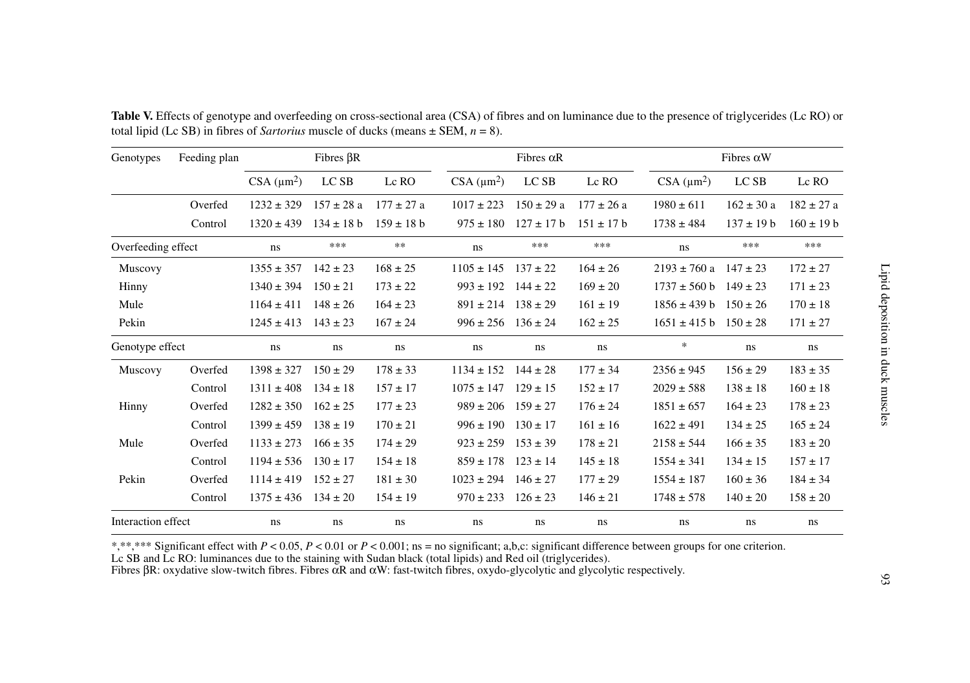| Feeding plan<br>Genotypes |         | Fibres $\beta R$ |                |                |                | Fibres $\alpha$ R |                |                  | Fibres $\alpha$ W |                |  |
|---------------------------|---------|------------------|----------------|----------------|----------------|-------------------|----------------|------------------|-------------------|----------------|--|
|                           |         | $CSA(\mu m^2)$   | LC SB          | Lc RO          | $CSA(\mu m^2)$ | LC SB             | Lc RO          | $CSA (\mu m^2)$  | LC SB             | Lc RO          |  |
|                           | Overfed | $1232 \pm 329$   | $157 \pm 28$ a | $177 \pm 27$ a | $1017 \pm 223$ | $150 \pm 29$ a    | $177 \pm 26$ a | $1980 \pm 611$   | $162 \pm 30 a$    | $182 \pm 27$ a |  |
|                           | Control | $1320 \pm 439$   | $134 \pm 18$ b | $159 \pm 18$ b | $975 \pm 180$  | $127 \pm 17$ b    | $151 \pm 17$ b | $1738 \pm 484$   | $137 \pm 19$ b    | $160 \pm 19$ b |  |
| Overfeeding effect        |         | ns               | ***            | $\ast\ast$     | ns             | ***               | ***            | ns               | ***               | ***            |  |
| Muscovy                   |         | $1355 \pm 357$   | $142 \pm 23$   | $168 \pm 25$   | $1105 \pm 145$ | $137 \pm 22$      | $164 \pm 26$   | $2193 \pm 760$ a | $147 \pm 23$      | $172 \pm 27$   |  |
| Hinny                     |         | $1340 \pm 394$   | $150 \pm 21$   | $173 \pm 22$   | $993 \pm 192$  | $144 \pm 22$      | $169 \pm 20$   | $1737 \pm 560$ b | $149 \pm 23$      | $171 \pm 23$   |  |
| Mule                      |         | $1164 \pm 411$   | $148 \pm 26$   | $164 \pm 23$   | $891 \pm 214$  | $138 \pm 29$      | $161 \pm 19$   | $1856 \pm 439 b$ | $150 \pm 26$      | $170 \pm 18$   |  |
| Pekin                     |         | $1245 \pm 413$   | $143 \pm 23$   | $167 \pm 24$   | $996 \pm 256$  | $136 \pm 24$      | $162 \pm 25$   | $1651 \pm 415$ b | $150 \pm 28$      | $171 \pm 27$   |  |
| Genotype effect           |         | ns               | ns             | ns             | ns             | ns                | ns             | $\ast$           | ns                | ns             |  |
| Muscovy                   | Overfed | $1398 \pm 327$   | $150 \pm 29$   | $178 \pm 33$   | $1134 \pm 152$ | $144 \pm 28$      | $177 \pm 34$   | $2356 \pm 945$   | $156 \pm 29$      | $183 \pm 35$   |  |
|                           | Control | $1311 \pm 408$   | $134 \pm 18$   | $157 \pm 17$   | $1075 \pm 147$ | $129 \pm 15$      | $152 \pm 17$   | $2029 \pm 588$   | $138 \pm 18$      | $160 \pm 18$   |  |
| Hinny                     | Overfed | $1282 \pm 350$   | $162 \pm 25$   | $177 \pm 23$   | $989 \pm 206$  | $159 \pm 27$      | $176 \pm 24$   | $1851 \pm 657$   | $164 \pm 23$      | $178 \pm 23$   |  |
|                           | Control | $1399 \pm 459$   | $138 \pm 19$   | $170 \pm 21$   | $996 \pm 190$  | $130 \pm 17$      | $161 \pm 16$   | $1622 \pm 491$   | $134 \pm 25$      | $165 \pm 24$   |  |
| Mule                      | Overfed | $1133 \pm 273$   | $166 \pm 35$   | $174 \pm 29$   | $923 \pm 259$  | $153 \pm 39$      | $178 \pm 21$   | $2158 \pm 544$   | $166 \pm 35$      | $183 \pm 20$   |  |
|                           | Control | $1194 \pm 536$   | $130 \pm 17$   | $154 \pm 18$   | $859 \pm 178$  | $123 \pm 14$      | $145 \pm 18$   | $1554 \pm 341$   | $134 \pm 15$      | $157 \pm 17$   |  |
| Pekin                     | Overfed | $1114 \pm 419$   | $152 \pm 27$   | $181 \pm 30$   | $1023 \pm 294$ | $146 \pm 27$      | $177 \pm 29$   | $1554 \pm 187$   | $160 \pm 36$      | $184 \pm 34$   |  |
|                           | Control | $1375 \pm 436$   | $134 \pm 20$   | $154 \pm 19$   | $970 \pm 233$  | $126 \pm 23$      | $146 \pm 21$   | $1748 \pm 578$   | $140 \pm 20$      | $158 \pm 20$   |  |
| Interaction effect        |         | ns               | ns             | ns             | ns             | ns                | ns             | ns               | ns                | ns             |  |

Table V. Effects of genotype and overfeeding on cross-sectional area (CSA) of fibres and on luminance due to the presence of triglycerides (Lc RO) or total lipid (Lc SB) in fibres of *Sartorius* muscle of ducks (means ± SEM, *<sup>n</sup>* = 8).

\*,\*\*,\*\*\* Significant effect with *P* < 0.05, *P* < 0.01 or *P* < 0.001; ns = no significant; a,b,c: significant difference between groups for one criterion.

Lc SB and Lc RO: luminances due to the staining with Sudan black (total lipids) and Red oil (triglycerides).<br>Fibres βR: oxydative slow-twitch fibres. Fibres αR and αW: fast-twitch fibres, oxydo-glycolytic and glycolytic r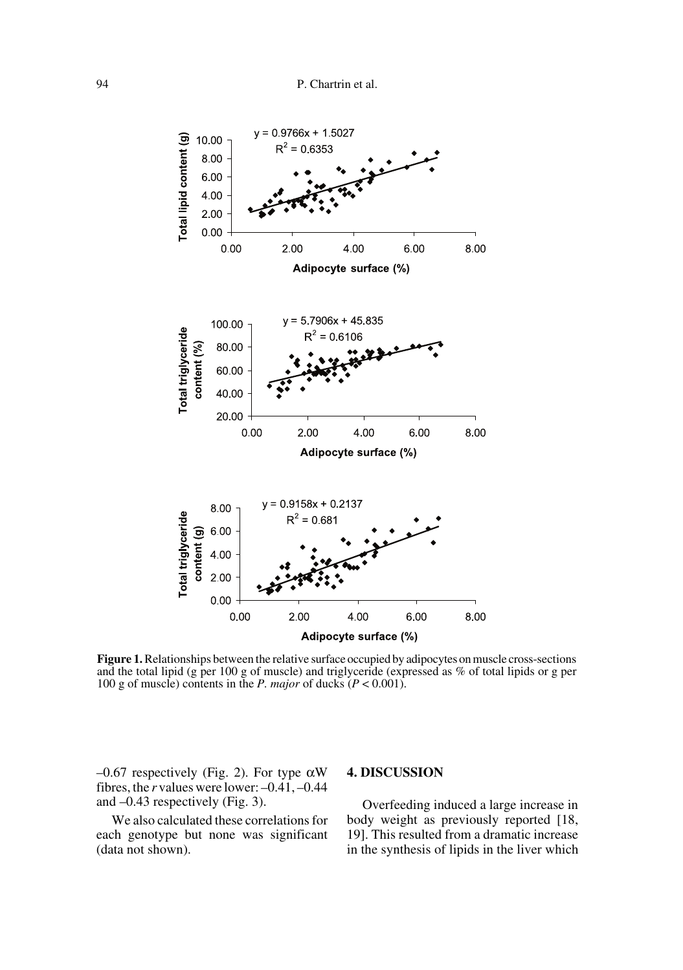

**Figure 1.** Relationships between the relative surface occupied by adipocytes on muscle cross-sections and the total lipid (g per 100 g of muscle) and triglyceride (expressed as % of total lipids or g per 100 g of muscle) contents in the *P. major* of ducks  $(P < 0.001)$ .

–0.67 respectively (Fig. 2). For type αW fibres, the *r* values were lower: –0.41, –0.44 and –0.43 respectively (Fig. 3).

We also calculated these correlations for each genotype but none was significant (data not shown).

## **4. DISCUSSION**

Overfeeding induced a large increase in body weight as previously reported [18, 19]. This resulted from a dramatic increase in the synthesis of lipids in the liver which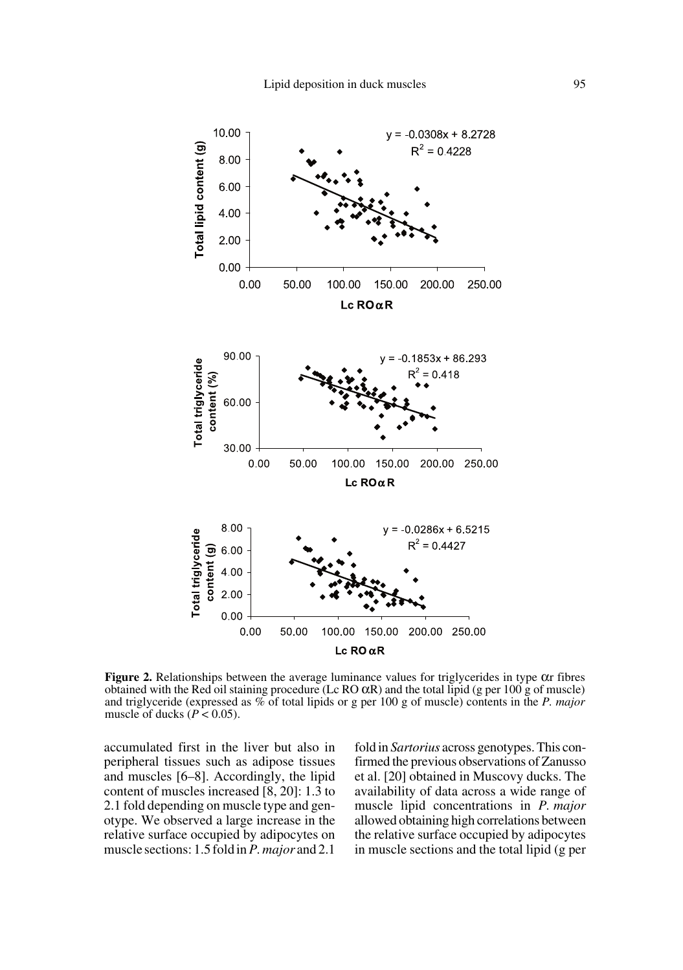

**Figure 2.** Relationships between the average luminance values for triglycerides in type  $\alpha$ r fibres obtained with the Red oil staining procedure (Lc RO αR) and the total lipid (g per 100 g of muscle) and triglyceride (expressed as % of total lipids or g per 100 g of muscle) contents in the *P. major* muscle of ducks ( $P < 0.05$ ).

accumulated first in the liver but also in peripheral tissues such as adipose tissues and muscles [6–8]. Accordingly, the lipid content of muscles increased [8, 20]: 1.3 to 2.1 fold depending on muscle type and genotype. We observed a large increase in the relative surface occupied by adipocytes on muscle sections: 1.5 fold in *P. major* and 2.1

fold in *Sartorius* across genotypes. This confirmed the previous observations of Zanusso et al. [20] obtained in Muscovy ducks. The availability of data across a wide range of muscle lipid concentrations in *P. major* allowed obtaining high correlations between the relative surface occupied by adipocytes in muscle sections and the total lipid (g per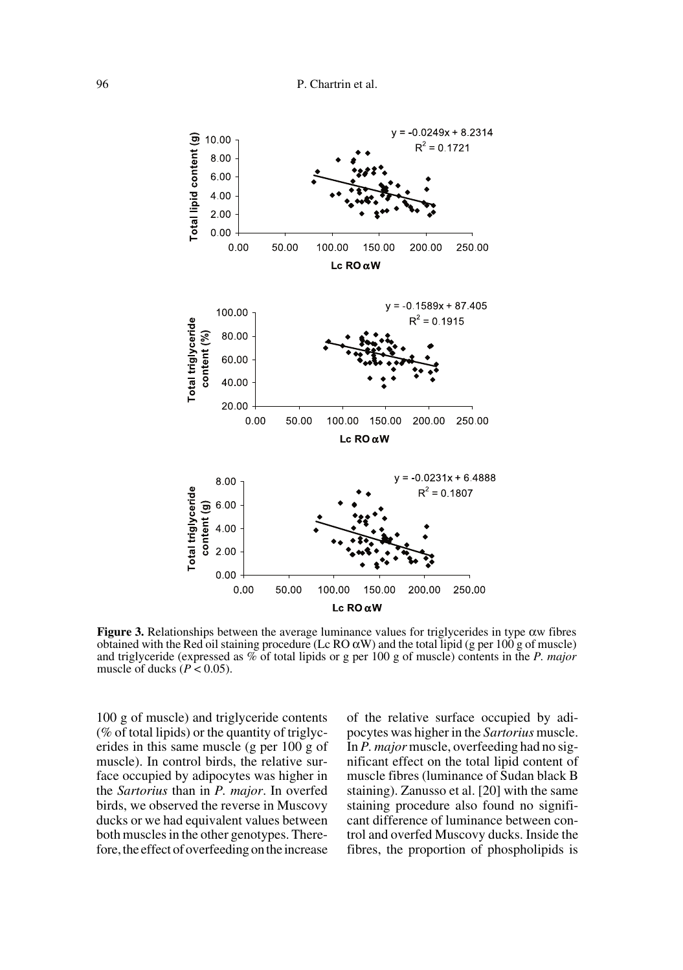

**Figure 3.** Relationships between the average luminance values for triglycerides in type αw fibres obtained with the Red oil staining procedure (Lc RO  $\alpha$ W) and the total lipid (g per 100 g of muscle) and triglyceride (expressed as % of total lipids or g per 100 g of muscle) contents in the *P. major* muscle of ducks ( $P < 0.05$ ).

100 g of muscle) and triglyceride contents (% of total lipids) or the quantity of triglycerides in this same muscle (g per 100 g of muscle). In control birds, the relative surface occupied by adipocytes was higher in the *Sartorius* than in *P. major*. In overfed birds, we observed the reverse in Muscovy ducks or we had equivalent values between both muscles in the other genotypes. Therefore, the effect of overfeeding on the increase

of the relative surface occupied by adipocytes was higher in the *Sartorius* muscle. In *P. major* muscle, overfeeding had no significant effect on the total lipid content of muscle fibres (luminance of Sudan black B staining). Zanusso et al. [20] with the same staining procedure also found no significant difference of luminance between control and overfed Muscovy ducks. Inside the fibres, the proportion of phospholipids is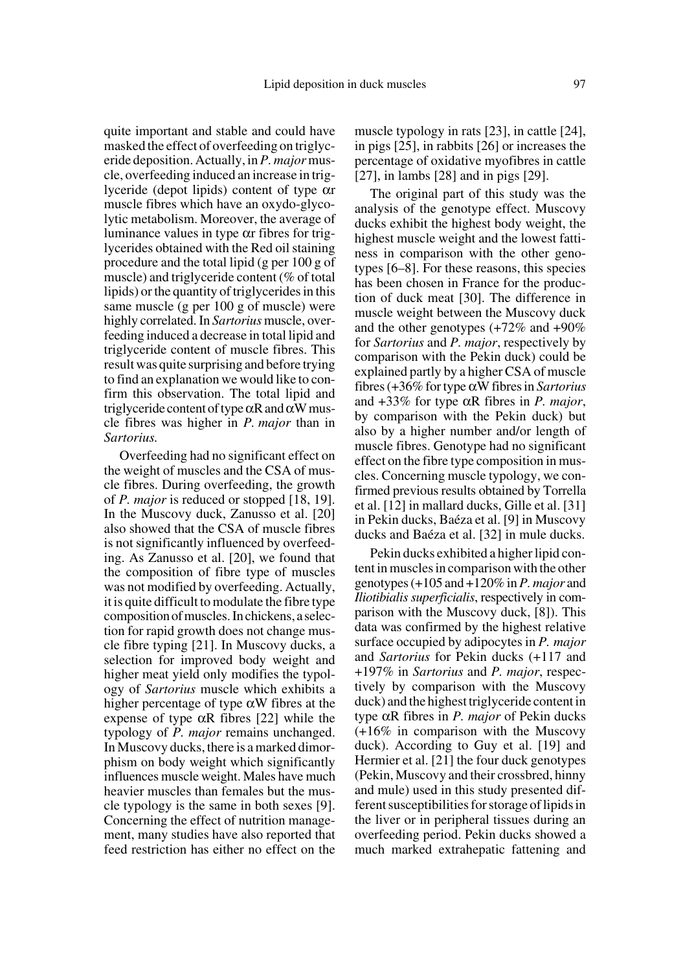quite important and stable and could have masked the effect of overfeeding on triglyceride deposition. Actually, in *P. major* muscle, overfeeding induced an increase in triglyceride (depot lipids) content of type αr muscle fibres which have an oxydo-glycolytic metabolism. Moreover, the average of luminance values in type αr fibres for triglycerides obtained with the Red oil staining procedure and the total lipid (g per 100 g of muscle) and triglyceride content (% of total lipids) or the quantity of triglycerides in this same muscle (g per 100 g of muscle) were highly correlated. In *Sartorius* muscle, overfeeding induced a decrease in total lipid and triglyceride content of muscle fibres. This result was quite surprising and before trying to find an explanation we would like to confirm this observation. The total lipid and triglyceride content of type  $\alpha$ R and  $\alpha$ W muscle fibres was higher in *P. major* than in *Sartorius.*

Overfeeding had no significant effect on the weight of muscles and the CSA of muscle fibres. During overfeeding, the growth of *P. major* is reduced or stopped [18, 19]. In the Muscovy duck, Zanusso et al. [20] also showed that the CSA of muscle fibres is not significantly influenced by overfeeding. As Zanusso et al. [20], we found that the composition of fibre type of muscles was not modified by overfeeding. Actually, it is quite difficult to modulate the fibre type composition of muscles. In chickens, a selection for rapid growth does not change muscle fibre typing [21]. In Muscovy ducks, a selection for improved body weight and higher meat yield only modifies the typology of *Sartorius* muscle which exhibits a higher percentage of type  $\alpha$ W fibres at the expense of type  $\alpha$ R fibres [22] while the typology of *P. major* remains unchanged. In Muscovy ducks, there is a marked dimorphism on body weight which significantly influences muscle weight. Males have much heavier muscles than females but the muscle typology is the same in both sexes [9]. Concerning the effect of nutrition management, many studies have also reported that feed restriction has either no effect on the muscle typology in rats [23], in cattle [24], in pigs [25], in rabbits [26] or increases the percentage of oxidative myofibres in cattle [27], in lambs [28] and in pigs [29].

The original part of this study was the analysis of the genotype effect. Muscovy ducks exhibit the highest body weight, the highest muscle weight and the lowest fattiness in comparison with the other genotypes [6–8]. For these reasons, this species has been chosen in France for the production of duck meat [30]. The difference in muscle weight between the Muscovy duck and the other genotypes (+72% and +90% for *Sartorius* and *P. major*, respectively by comparison with the Pekin duck) could be explained partly by a higher CSA of muscle fibres (+36% for type αW fibres in *Sartorius* and +33% for type αR fibres in *P. major*, by comparison with the Pekin duck) but also by a higher number and/or length of muscle fibres. Genotype had no significant effect on the fibre type composition in muscles. Concerning muscle typology, we confirmed previous results obtained by Torrella et al. [12] in mallard ducks, Gille et al. [31] in Pekin ducks, Baéza et al. [9] in Muscovy ducks and Baéza et al. [32] in mule ducks.

Pekin ducks exhibited a higher lipid content in muscles in comparison with the other genotypes (+105 and +120% in *P. major* and *Iliotibialis superficialis*, respectively in comparison with the Muscovy duck, [8]). This data was confirmed by the highest relative surface occupied by adipocytes in *P. major* and *Sartorius* for Pekin ducks (+117 and +197% in *Sartorius* and *P. major*, respectively by comparison with the Muscovy duck) and the highest triglyceride content in type αR fibres in *P. major* of Pekin ducks (+16% in comparison with the Muscovy duck). According to Guy et al. [19] and Hermier et al. [21] the four duck genotypes (Pekin, Muscovy and their crossbred, hinny and mule) used in this study presented different susceptibilities for storage of lipids in the liver or in peripheral tissues during an overfeeding period. Pekin ducks showed a much marked extrahepatic fattening and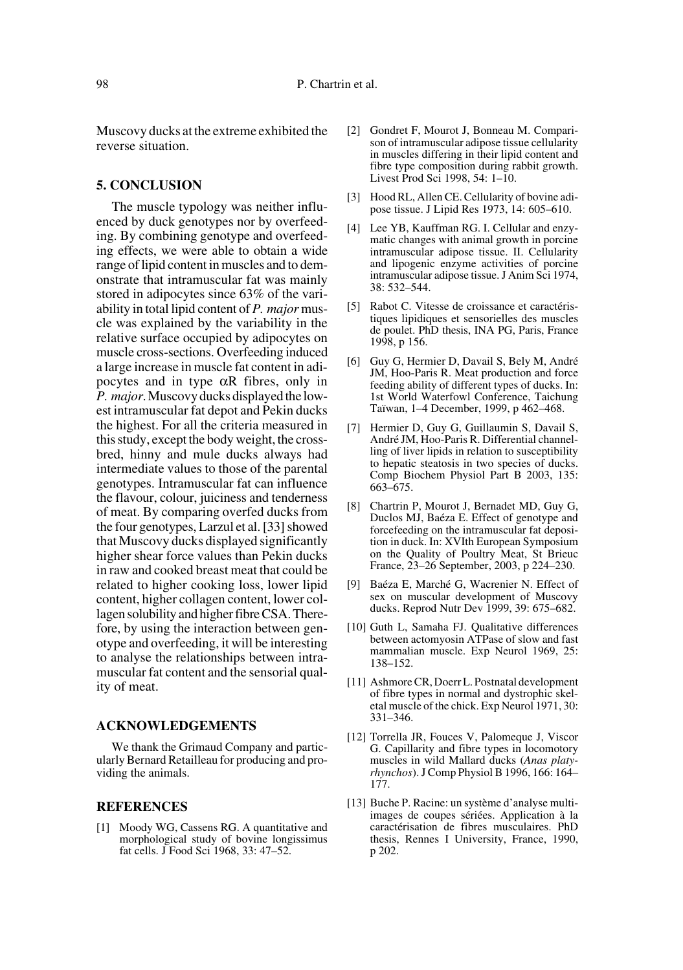Muscovy ducks at the extreme exhibited the reverse situation.

#### **5. CONCLUSION**

The muscle typology was neither influenced by duck genotypes nor by overfeeding. By combining genotype and overfeeding effects, we were able to obtain a wide range of lipid content in muscles and to demonstrate that intramuscular fat was mainly stored in adipocytes since 63% of the variability in total lipid content of *P. major* muscle was explained by the variability in the relative surface occupied by adipocytes on muscle cross-sections. Overfeeding induced a large increase in muscle fat content in adipocytes and in type  $\alpha$ R fibres, only in *P. major*. Muscovy ducks displayed the lowest intramuscular fat depot and Pekin ducks the highest. For all the criteria measured in this study, except the body weight, the crossbred, hinny and mule ducks always had intermediate values to those of the parental genotypes. Intramuscular fat can influence the flavour, colour, juiciness and tenderness of meat. By comparing overfed ducks from the four genotypes, Larzul et al. [33] showed that Muscovy ducks displayed significantly higher shear force values than Pekin ducks in raw and cooked breast meat that could be related to higher cooking loss, lower lipid content, higher collagen content, lower collagen solubility and higher fibre CSA. Therefore, by using the interaction between genotype and overfeeding, it will be interesting to analyse the relationships between intramuscular fat content and the sensorial quality of meat.

#### **ACKNOWLEDGEMENTS**

We thank the Grimaud Company and particularly Bernard Retailleau for producing and providing the animals.

## **REFERENCES**

[1] Moody WG, Cassens RG. A quantitative and morphological study of bovine longissimus fat cells. J Food Sci 1968, 33: 47–52.

- [2] Gondret F, Mourot J, Bonneau M. Comparison of intramuscular adipose tissue cellularity in muscles differing in their lipid content and fibre type composition during rabbit growth. Livest Prod Sci 1998, 54: 1–10.
- [3] Hood RL, Allen CE. Cellularity of bovine adipose tissue. J Lipid Res 1973, 14: 605–610.
- [4] Lee YB, Kauffman RG. I. Cellular and enzymatic changes with animal growth in porcine intramuscular adipose tissue. II. Cellularity and lipogenic enzyme activities of porcine intramuscular adipose tissue. J Anim Sci 1974, 38: 532–544.
- [5] Rabot C. Vitesse de croissance et caractéristiques lipidiques et sensorielles des muscles de poulet. PhD thesis, INA PG, Paris, France 1998, p 156.
- [6] Guy G, Hermier D, Davail S, Bely M, André JM, Hoo-Paris R. Meat production and force feeding ability of different types of ducks. In: 1st World Waterfowl Conference, Taichung Taïwan, 1–4 December, 1999, p 462–468.
- [7] Hermier D, Guy G, Guillaumin S, Davail S, André JM, Hoo-Paris R. Differential channelling of liver lipids in relation to susceptibility to hepatic steatosis in two species of ducks. Comp Biochem Physiol Part B 2003, 135: 663–675.
- [8] Chartrin P, Mourot J, Bernadet MD, Guy G, Duclos MJ, Baéza E. Effect of genotype and forcefeeding on the intramuscular fat deposition in duck. In: XVIth European Symposium on the Quality of Poultry Meat, St Brieuc France, 23–26 September, 2003, p 224–230.
- [9] Baéza E, Marché G, Wacrenier N. Effect of sex on muscular development of Muscovy ducks. Reprod Nutr Dev 1999, 39: 675–682.
- [10] Guth L, Samaha FJ. Qualitative differences between actomyosin ATPase of slow and fast mammalian muscle. Exp Neurol 1969, 25: 138–152.
- [11] Ashmore CR, Doerr L. Postnatal development of fibre types in normal and dystrophic skeletal muscle of the chick. Exp Neurol 1971, 30: 331–346.
- [12] Torrella JR, Fouces V, Palomeque J, Viscor G. Capillarity and fibre types in locomotory muscles in wild Mallard ducks (*Anas platyrhynchos*). J Comp Physiol B 1996, 166: 164– 177.
- [13] Buche P. Racine: un système d'analyse multiimages de coupes sériées. Application à la caractérisation de fibres musculaires. PhD thesis, Rennes I University, France, 1990, p 202.